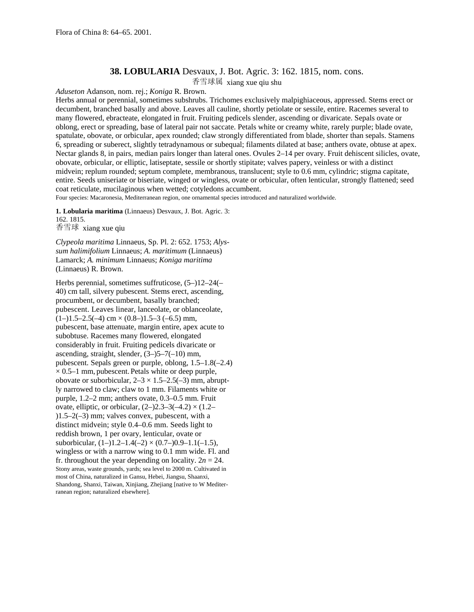## **38. LOBULARIA** Desvaux, J. Bot. Agric. 3: 162. 1815, nom. cons.

香雪球属 xiang xue qiu shu

*Aduseton* Adanson, nom. rej.; *Koniga* R. Brown.

Herbs annual or perennial, sometimes subshrubs. Trichomes exclusively malpighiaceous, appressed. Stems erect or decumbent, branched basally and above. Leaves all cauline, shortly petiolate or sessile, entire. Racemes several to many flowered, ebracteate, elongated in fruit. Fruiting pedicels slender, ascending or divaricate. Sepals ovate or oblong, erect or spreading, base of lateral pair not saccate. Petals white or creamy white, rarely purple; blade ovate, spatulate, obovate, or orbicular, apex rounded; claw strongly differentiated from blade, shorter than sepals. Stamens 6, spreading or suberect, slightly tetradynamous or subequal; filaments dilated at base; anthers ovate, obtuse at apex. Nectar glands 8, in pairs, median pairs longer than lateral ones. Ovules 2–14 per ovary. Fruit dehiscent silicles, ovate, obovate, orbicular, or elliptic, latiseptate, sessile or shortly stipitate; valves papery, veinless or with a distinct midvein; replum rounded; septum complete, membranous, translucent; style to 0.6 mm, cylindric; stigma capitate, entire. Seeds uniseriate or biseriate, winged or wingless, ovate or orbicular, often lenticular, strongly flattened; seed coat reticulate, mucilaginous when wetted; cotyledons accumbent.

Four species: Macaronesia, Mediterranean region, one ornamental species introduced and naturalized worldwide.

**1. Lobularia maritima** (Linnaeus) Desvaux, J. Bot. Agric. 3: 162. 1815.

香雪球 xiang xue qiu

*Clypeola maritima* Linnaeus, Sp. Pl. 2: 652. 1753; *Alyssum halimifolium* Linnaeus; *A. maritimum* (Linnaeus) Lamarck; *A. minimum* Linnaeus; *Koniga maritima* (Linnaeus) R. Brown.

Herbs perennial, sometimes suffruticose, (5–)12–24(– 40) cm tall, silvery pubescent. Stems erect, ascending, procumbent, or decumbent, basally branched; pubescent. Leaves linear, lanceolate, or oblanceolate,  $(1-)1.5-2.5(-4)$  cm  $\times$   $(0.8-)1.5-3$   $(-6.5)$  mm, pubescent, base attenuate, margin entire, apex acute to subobtuse. Racemes many flowered, elongated considerably in fruit. Fruiting pedicels divaricate or ascending, straight, slender,  $(3-)5-7(-10)$  mm, pubescent. Sepals green or purple, oblong, 1.5–1.8(–2.4)  $\times$  0.5–1 mm, pubescent. Petals white or deep purple, obovate or suborbicular,  $2-3 \times 1.5-2.5(-3)$  mm, abruptly narrowed to claw; claw to 1 mm. Filaments white or purple, 1.2–2 mm; anthers ovate, 0.3–0.5 mm. Fruit ovate, elliptic, or orbicular,  $(2-)2.3-3(-4.2) \times (1.2-$ )1.5–2(–3) mm; valves convex, pubescent, with a distinct midvein; style 0.4–0.6 mm. Seeds light to reddish brown, 1 per ovary, lenticular, ovate or suborbicular,  $(1-)1.2-1.4(-2) \times (0.7-)0.9-1.1(-1.5)$ , wingless or with a narrow wing to 0.1 mm wide. Fl. and fr. throughout the year depending on locality.  $2n = 24$ . Stony areas, waste grounds, yards; sea level to 2000 m. Cultivated in most of China, naturalized in Gansu, Hebei, Jiangsu, Shaanxi, Shandong, Shanxi, Taiwan, Xinjiang, Zhejiang [native to W Mediterranean region; naturalized elsewhere].